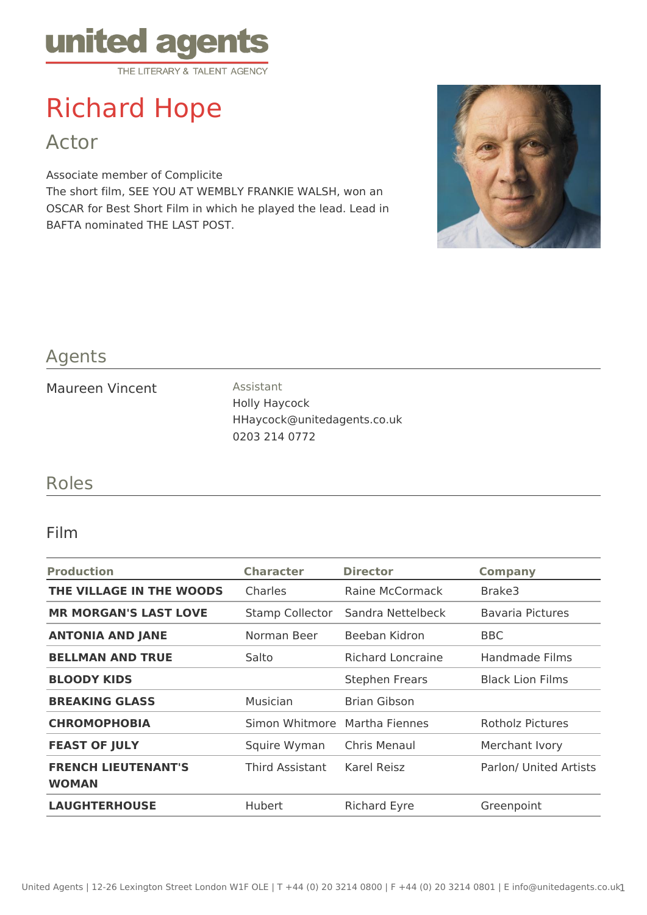

# Richard Hope

Actor

Associate member of Complicite The short film, SEE YOU AT WEMBLY FRANKIE WALSH, won an OSCAR for Best Short Film in which he played the lead. Lead in BAFTA nominated THE LAST POST.



### Agents

Maureen Vincent **Assistant** 

Holly Haycock HHaycock@unitedagents.co.uk 0203 214 0772

#### Roles

#### Film

| <b>Production</b>                          | <b>Character</b>       | <b>Director</b>          | <b>Company</b>          |
|--------------------------------------------|------------------------|--------------------------|-------------------------|
| THE VILLAGE IN THE WOODS                   | Charles                | Raine McCormack          | Brake3                  |
| <b>MR MORGAN'S LAST LOVE</b>               | <b>Stamp Collector</b> | Sandra Nettelbeck        | <b>Bavaria Pictures</b> |
| <b>ANTONIA AND JANE</b>                    | Norman Beer            | Beeban Kidron            | <b>BBC</b>              |
| <b>BELLMAN AND TRUE</b>                    | Salto                  | <b>Richard Loncraine</b> | Handmade Films          |
| <b>BLOODY KIDS</b>                         |                        | <b>Stephen Frears</b>    | <b>Black Lion Films</b> |
| <b>BREAKING GLASS</b>                      | Musician               | Brian Gibson             |                         |
| <b>CHROMOPHOBIA</b>                        | Simon Whitmore         | Martha Fiennes           | Rotholz Pictures        |
| <b>FEAST OF JULY</b>                       | Squire Wyman           | Chris Menaul             | Merchant Ivory          |
| <b>FRENCH LIEUTENANT'S</b><br><b>WOMAN</b> | Third Assistant        | Karel Reisz              | Parlon/ United Artists  |
| <b>LAUGHTERHOUSE</b>                       | <b>Hubert</b>          | <b>Richard Eyre</b>      | Greenpoint              |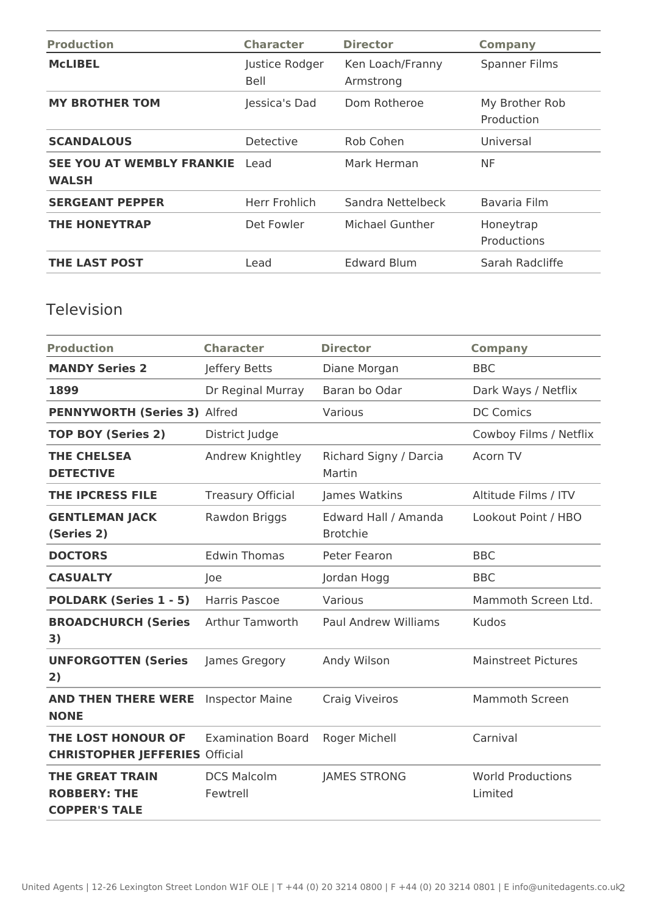| <b>Production</b>                                | <b>Character</b>       | <b>Director</b>               | <b>Company</b>               |
|--------------------------------------------------|------------------------|-------------------------------|------------------------------|
| <b>MCLIBEL</b>                                   | Justice Rodger<br>Bell | Ken Loach/Franny<br>Armstrong | <b>Spanner Films</b>         |
| <b>MY BROTHER TOM</b>                            | Jessica's Dad          | Dom Rotheroe                  | My Brother Rob<br>Production |
| <b>SCANDALOUS</b>                                | Detective              | Rob Cohen                     | Universal                    |
| <b>SEE YOU AT WEMBLY FRANKIE</b><br><b>WALSH</b> | Lead                   | Mark Herman                   | NF                           |
| <b>SERGEANT PEPPER</b>                           | Herr Frohlich          | Sandra Nettelbeck             | Bavaria Film                 |
| <b>THE HONEYTRAP</b>                             | Det Fowler             | Michael Gunther               | Honeytrap<br>Productions     |
| <b>THE LAST POST</b>                             | Lead                   | <b>Edward Blum</b>            | Sarah Radcliffe              |

# Television

| <b>Production</b>                                                     | <b>Character</b>               | <b>Director</b>                         | <b>Company</b>                      |
|-----------------------------------------------------------------------|--------------------------------|-----------------------------------------|-------------------------------------|
| <b>MANDY Series 2</b>                                                 | Jeffery Betts                  | Diane Morgan                            | <b>BBC</b>                          |
| 1899                                                                  | Dr Reginal Murray              | Baran bo Odar                           | Dark Ways / Netflix                 |
| <b>PENNYWORTH (Series 3) Alfred</b>                                   |                                | Various                                 | <b>DC Comics</b>                    |
| <b>TOP BOY (Series 2)</b>                                             | District Judge                 |                                         | Cowboy Films / Netflix              |
| <b>THE CHELSEA</b><br><b>DETECTIVE</b>                                | Andrew Knightley               | Richard Signy / Darcia<br>Martin        | Acorn TV                            |
| <b>THE IPCRESS FILE</b>                                               | <b>Treasury Official</b>       | James Watkins                           | Altitude Films / ITV                |
| <b>GENTLEMAN JACK</b><br>(Series 2)                                   | Rawdon Briggs                  | Edward Hall / Amanda<br><b>Brotchie</b> | Lookout Point / HBO                 |
| <b>DOCTORS</b>                                                        | <b>Edwin Thomas</b>            | Peter Fearon                            | <b>BBC</b>                          |
| <b>CASUALTY</b>                                                       | Joe                            | Jordan Hogg                             | <b>BBC</b>                          |
| <b>POLDARK (Series 1 - 5)</b>                                         | Harris Pascoe                  | Various                                 | Mammoth Screen Ltd.                 |
| <b>BROADCHURCH (Series</b><br>3)                                      | <b>Arthur Tamworth</b>         | <b>Paul Andrew Williams</b>             | <b>Kudos</b>                        |
| <b>UNFORGOTTEN (Series</b><br>2)                                      | James Gregory                  | Andy Wilson                             | <b>Mainstreet Pictures</b>          |
| <b>AND THEN THERE WERE</b><br><b>NONE</b>                             | <b>Inspector Maine</b>         | <b>Craig Viveiros</b>                   | <b>Mammoth Screen</b>               |
| THE LOST HONOUR OF<br><b>CHRISTOPHER JEFFERIES Official</b>           | <b>Examination Board</b>       | Roger Michell                           | Carnival                            |
| <b>THE GREAT TRAIN</b><br><b>ROBBERY: THE</b><br><b>COPPER'S TALE</b> | <b>DCS Malcolm</b><br>Fewtrell | <b>JAMES STRONG</b>                     | <b>World Productions</b><br>Limited |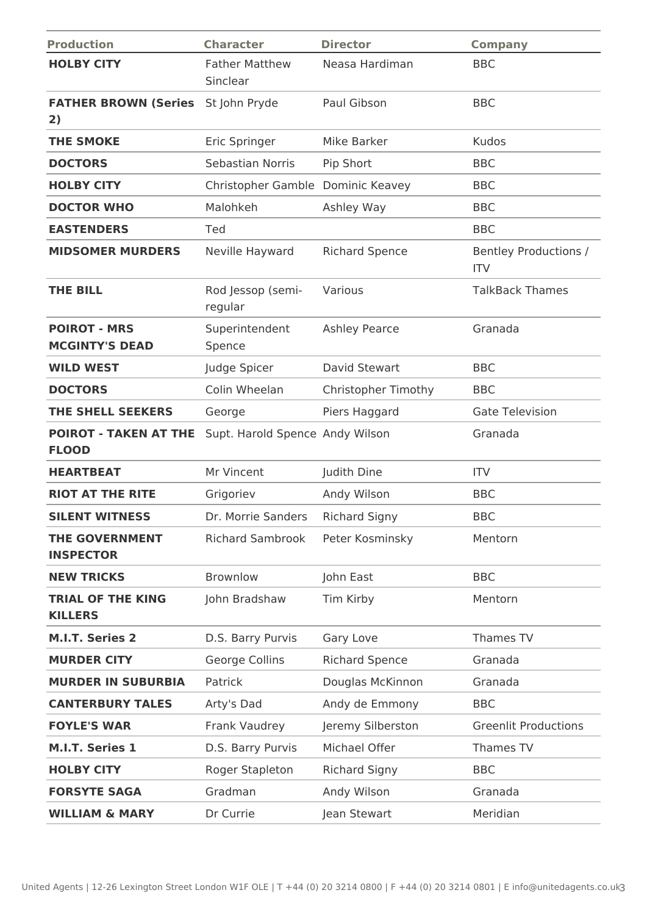| <b>Production</b>                            | <b>Character</b>                  | <b>Director</b>            | <b>Company</b>                             |
|----------------------------------------------|-----------------------------------|----------------------------|--------------------------------------------|
| <b>HOLBY CITY</b>                            | <b>Father Matthew</b><br>Sinclear | Neasa Hardiman             | <b>BBC</b>                                 |
| <b>FATHER BROWN (Series</b><br>2)            | St John Pryde                     | Paul Gibson                | <b>BBC</b>                                 |
| <b>THE SMOKE</b>                             | Eric Springer                     | Mike Barker                | Kudos                                      |
| <b>DOCTORS</b>                               | Sebastian Norris                  | Pip Short                  | <b>BBC</b>                                 |
| <b>HOLBY CITY</b>                            | Christopher Gamble Dominic Keavey |                            | <b>BBC</b>                                 |
| <b>DOCTOR WHO</b>                            | Malohkeh                          | Ashley Way                 | <b>BBC</b>                                 |
| <b>EASTENDERS</b>                            | Ted                               |                            | <b>BBC</b>                                 |
| <b>MIDSOMER MURDERS</b>                      | Neville Hayward                   | <b>Richard Spence</b>      | <b>Bentley Productions /</b><br><b>ITV</b> |
| <b>THE BILL</b>                              | Rod Jessop (semi-<br>regular      | Various                    | <b>TalkBack Thames</b>                     |
| <b>POIROT - MRS</b><br><b>MCGINTY'S DEAD</b> | Superintendent<br>Spence          | <b>Ashley Pearce</b>       | Granada                                    |
| <b>WILD WEST</b>                             | Judge Spicer                      | David Stewart              | <b>BBC</b>                                 |
| <b>DOCTORS</b>                               | Colin Wheelan                     | <b>Christopher Timothy</b> | <b>BBC</b>                                 |
| THE SHELL SEEKERS                            | George                            | Piers Haggard              | <b>Gate Television</b>                     |
| <b>POIROT - TAKEN AT THE</b><br><b>FLOOD</b> | Supt. Harold Spence Andy Wilson   |                            | Granada                                    |
| <b>HEARTBEAT</b>                             | Mr Vincent                        | Judith Dine                | <b>ITV</b>                                 |
| <b>RIOT AT THE RITE</b>                      | Grigoriev                         | Andy Wilson                | <b>BBC</b>                                 |
| <b>SILENT WITNESS</b>                        | Dr. Morrie Sanders                | <b>Richard Signy</b>       | <b>BBC</b>                                 |
| <b>THE GOVERNMENT</b><br><b>INSPECTOR</b>    | <b>Richard Sambrook</b>           | Peter Kosminsky            | Mentorn                                    |
| <b>NEW TRICKS</b>                            | <b>Brownlow</b>                   | John East                  | <b>BBC</b>                                 |
| <b>TRIAL OF THE KING</b><br><b>KILLERS</b>   | John Bradshaw                     | Tim Kirby                  | Mentorn                                    |
| <b>M.I.T. Series 2</b>                       | D.S. Barry Purvis                 | Gary Love                  | Thames TV                                  |
| <b>MURDER CITY</b>                           | George Collins                    | <b>Richard Spence</b>      | Granada                                    |
| <b>MURDER IN SUBURBIA</b>                    | Patrick                           | Douglas McKinnon           | Granada                                    |
| <b>CANTERBURY TALES</b>                      | Arty's Dad                        | Andy de Emmony             | <b>BBC</b>                                 |
| <b>FOYLE'S WAR</b>                           | Frank Vaudrey                     | Jeremy Silberston          | <b>Greenlit Productions</b>                |
| <b>M.I.T. Series 1</b>                       | D.S. Barry Purvis                 | Michael Offer              | Thames TV                                  |
| <b>HOLBY CITY</b>                            | Roger Stapleton                   | <b>Richard Signy</b>       | <b>BBC</b>                                 |
| <b>FORSYTE SAGA</b>                          | Gradman                           | Andy Wilson                | Granada                                    |
| <b>WILLIAM &amp; MARY</b>                    | Dr Currie                         | Jean Stewart               | Meridian                                   |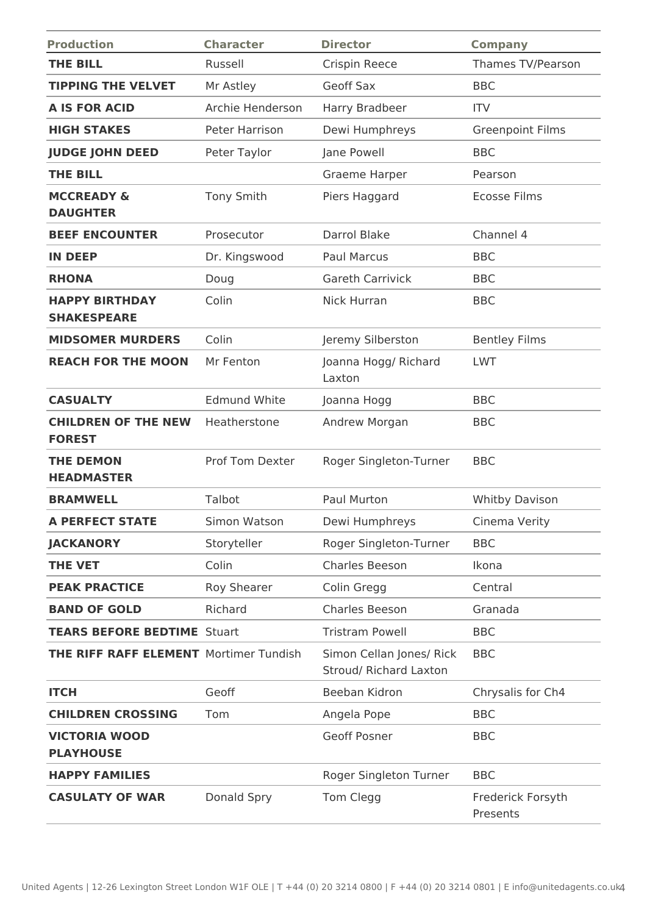| <b>Production</b>                             | <b>Character</b>    | <b>Director</b>                                    | <b>Company</b>                |
|-----------------------------------------------|---------------------|----------------------------------------------------|-------------------------------|
| <b>THE BILL</b>                               | Russell             | Crispin Reece                                      | Thames TV/Pearson             |
| <b>TIPPING THE VELVET</b>                     | Mr Astley           | Geoff Sax                                          | <b>BBC</b>                    |
| <b>A IS FOR ACID</b>                          | Archie Henderson    | Harry Bradbeer                                     | <b>ITV</b>                    |
| <b>HIGH STAKES</b>                            | Peter Harrison      | Dewi Humphreys                                     | <b>Greenpoint Films</b>       |
| <b>JUDGE JOHN DEED</b>                        | Peter Taylor        | Jane Powell                                        | <b>BBC</b>                    |
| <b>THE BILL</b>                               |                     | Graeme Harper                                      | Pearson                       |
| <b>MCCREADY &amp;</b><br><b>DAUGHTER</b>      | Tony Smith          | Piers Haggard                                      | <b>Ecosse Films</b>           |
| <b>BEEF ENCOUNTER</b>                         | Prosecutor          | Darrol Blake                                       | Channel 4                     |
| <b>IN DEEP</b>                                | Dr. Kingswood       | <b>Paul Marcus</b>                                 | <b>BBC</b>                    |
| <b>RHONA</b>                                  | Doug                | <b>Gareth Carrivick</b>                            | <b>BBC</b>                    |
| <b>HAPPY BIRTHDAY</b><br><b>SHAKESPEARE</b>   | Colin               | <b>Nick Hurran</b>                                 | <b>BBC</b>                    |
| <b>MIDSOMER MURDERS</b>                       | Colin               | Jeremy Silberston                                  | <b>Bentley Films</b>          |
| <b>REACH FOR THE MOON</b>                     | Mr Fenton           | Joanna Hogg/ Richard<br>Laxton                     | <b>LWT</b>                    |
| <b>CASUALTY</b>                               | <b>Edmund White</b> | Joanna Hogg                                        | <b>BBC</b>                    |
| <b>CHILDREN OF THE NEW</b><br><b>FOREST</b>   | Heatherstone        | Andrew Morgan                                      | <b>BBC</b>                    |
| <b>THE DEMON</b><br><b>HEADMASTER</b>         | Prof Tom Dexter     | Roger Singleton-Turner                             | <b>BBC</b>                    |
| <b>BRAMWELL</b>                               | Talbot              | Paul Murton                                        | <b>Whitby Davison</b>         |
| <b>A PERFECT STATE</b>                        | Simon Watson        | Dewi Humphreys                                     | Cinema Verity                 |
| <b>JACKANORY</b>                              | Storyteller         | Roger Singleton-Turner                             | <b>BBC</b>                    |
| <b>THE VET</b>                                | Colin               | Charles Beeson                                     | Ikona                         |
| <b>PEAK PRACTICE</b>                          | Roy Shearer         | Colin Gregg                                        | Central                       |
| <b>BAND OF GOLD</b>                           | Richard             | <b>Charles Beeson</b>                              | Granada                       |
| <b>TEARS BEFORE BEDTIME Stuart</b>            |                     | <b>Tristram Powell</b>                             | <b>BBC</b>                    |
| <b>THE RIFF RAFF ELEMENT</b> Mortimer Tundish |                     | Simon Cellan Jones/ Rick<br>Stroud/ Richard Laxton | <b>BBC</b>                    |
| <b>ITCH</b>                                   | Geoff               | Beeban Kidron                                      | Chrysalis for Ch4             |
| <b>CHILDREN CROSSING</b>                      | Tom                 | Angela Pope                                        | <b>BBC</b>                    |
| <b>VICTORIA WOOD</b><br><b>PLAYHOUSE</b>      |                     | Geoff Posner                                       | <b>BBC</b>                    |
| <b>HAPPY FAMILIES</b>                         |                     | Roger Singleton Turner                             | <b>BBC</b>                    |
| <b>CASULATY OF WAR</b>                        | Donald Spry         | Tom Clegg                                          | Frederick Forsyth<br>Presents |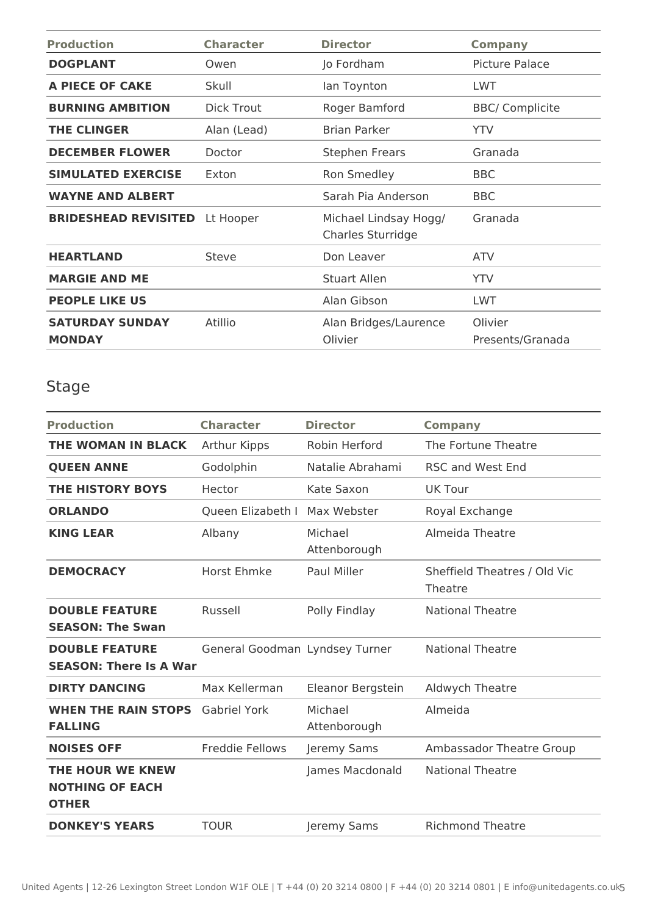| <b>Production</b>                       | <b>Character</b>  | <b>Director</b>                            | <b>Company</b>              |
|-----------------------------------------|-------------------|--------------------------------------------|-----------------------------|
| <b>DOGPLANT</b>                         | Owen              | Jo Fordham                                 | Picture Palace              |
| <b>A PIECE OF CAKE</b>                  | Skull             | lan Toynton                                | <b>LWT</b>                  |
| <b>BURNING AMBITION</b>                 | <b>Dick Trout</b> | Roger Bamford                              | <b>BBC/ Complicite</b>      |
| <b>THE CLINGER</b>                      | Alan (Lead)       | <b>Brian Parker</b>                        | <b>YTV</b>                  |
| <b>DECEMBER FLOWER</b>                  | Doctor            | <b>Stephen Frears</b>                      | Granada                     |
| <b>SIMULATED EXERCISE</b>               | Exton             | Ron Smedley                                | <b>BBC</b>                  |
| <b>WAYNE AND ALBERT</b>                 |                   | Sarah Pia Anderson                         | <b>BBC</b>                  |
| <b>BRIDESHEAD REVISITED</b>             | Lt Hooper         | Michael Lindsay Hogg/<br>Charles Sturridge | Granada                     |
| <b>HEARTLAND</b>                        | Steve             | Don Leaver                                 | <b>ATV</b>                  |
| <b>MARGIE AND ME</b>                    |                   | <b>Stuart Allen</b>                        | <b>YTV</b>                  |
| <b>PEOPLE LIKE US</b>                   |                   | Alan Gibson                                | <b>LWT</b>                  |
| <b>SATURDAY SUNDAY</b><br><b>MONDAY</b> | Atillio           | Alan Bridges/Laurence<br>Olivier           | Olivier<br>Presents/Granada |

# Stage

| <b>Production</b>                                                 | <b>Character</b>               | <b>Director</b>         | <b>Company</b>                          |
|-------------------------------------------------------------------|--------------------------------|-------------------------|-----------------------------------------|
| THE WOMAN IN BLACK                                                | Arthur Kipps                   | Robin Herford           | The Fortune Theatre                     |
| <b>QUEEN ANNE</b>                                                 | Godolphin                      | Natalie Abrahami        | <b>RSC and West End</b>                 |
| THE HISTORY BOYS                                                  | Hector                         | Kate Saxon              | <b>UK Tour</b>                          |
| <b>ORLANDO</b>                                                    | Queen Elizabeth I              | Max Webster             | Royal Exchange                          |
| <b>KING LEAR</b>                                                  | Albany                         | Michael<br>Attenborough | Almeida Theatre                         |
| <b>DEMOCRACY</b>                                                  | Horst Ehmke                    | Paul Miller             | Sheffield Theatres / Old Vic<br>Theatre |
| <b>DOUBLE FEATURE</b><br><b>SEASON: The Swan</b>                  | Russell                        | Polly Findlay           | <b>National Theatre</b>                 |
| <b>DOUBLE FEATURE</b><br><b>SEASON: There Is A War</b>            | General Goodman Lyndsey Turner |                         | <b>National Theatre</b>                 |
| <b>DIRTY DANCING</b>                                              | Max Kellerman                  | Eleanor Bergstein       | Aldwych Theatre                         |
| <b>WHEN THE RAIN STOPS</b><br><b>FALLING</b>                      | <b>Gabriel York</b>            | Michael<br>Attenborough | Almeida                                 |
| <b>NOISES OFF</b>                                                 | <b>Freddie Fellows</b>         | Jeremy Sams             | Ambassador Theatre Group                |
| <b>THE HOUR WE KNEW</b><br><b>NOTHING OF EACH</b><br><b>OTHER</b> |                                | James Macdonald         | <b>National Theatre</b>                 |
| <b>DONKEY'S YEARS</b>                                             | <b>TOUR</b>                    | Jeremy Sams             | <b>Richmond Theatre</b>                 |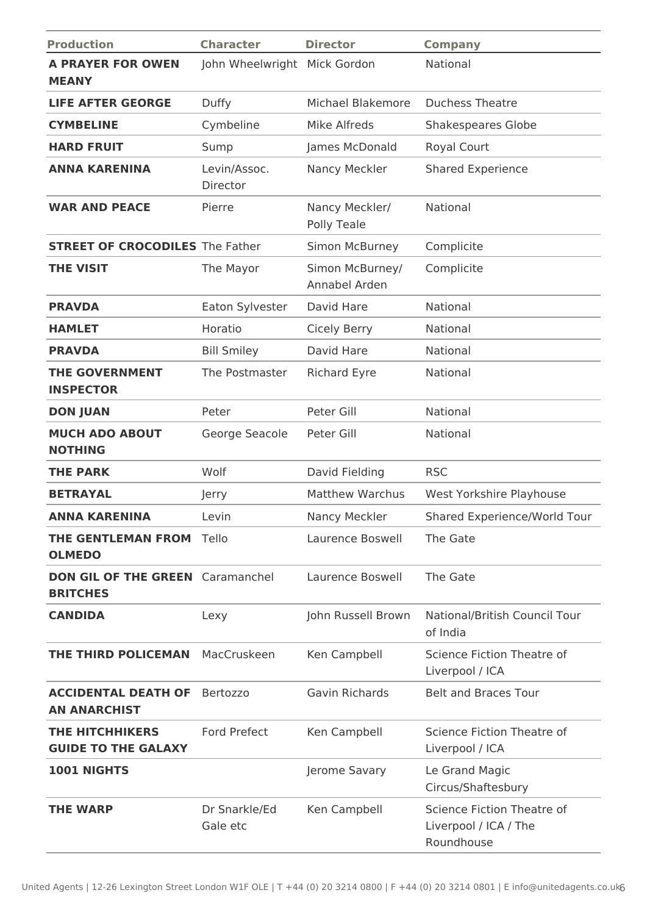| <b>Production</b>                                          | <b>Character</b>             | <b>Director</b>                  | <b>Company</b>                                                    |
|------------------------------------------------------------|------------------------------|----------------------------------|-------------------------------------------------------------------|
| <b>A PRAYER FOR OWEN</b><br><b>MEANY</b>                   | John Wheelwright Mick Gordon |                                  | National                                                          |
| <b>LIFE AFTER GEORGE</b>                                   | Duffy                        | Michael Blakemore                | <b>Duchess Theatre</b>                                            |
| <b>CYMBELINE</b>                                           | Cymbeline                    | <b>Mike Alfreds</b>              | <b>Shakespeares Globe</b>                                         |
| <b>HARD FRUIT</b>                                          | Sump                         | James McDonald                   | Royal Court                                                       |
| <b>ANNA KARENINA</b>                                       | Levin/Assoc.<br>Director     | Nancy Meckler                    | <b>Shared Experience</b>                                          |
| <b>WAR AND PEACE</b>                                       | Pierre                       | Nancy Meckler/<br>Polly Teale    | National                                                          |
| <b>STREET OF CROCODILES</b> The Father                     |                              | Simon McBurney                   | Complicite                                                        |
| <b>THE VISIT</b>                                           | The Mayor                    | Simon McBurney/<br>Annabel Arden | Complicite                                                        |
| <b>PRAVDA</b>                                              | Eaton Sylvester              | David Hare                       | National                                                          |
| <b>HAMLET</b>                                              | Horatio                      | <b>Cicely Berry</b>              | National                                                          |
| <b>PRAVDA</b>                                              | <b>Bill Smiley</b>           | David Hare                       | National                                                          |
| <b>THE GOVERNMENT</b><br><b>INSPECTOR</b>                  | The Postmaster               | <b>Richard Eyre</b>              | National                                                          |
| <b>DON JUAN</b>                                            | Peter                        | Peter Gill                       | National                                                          |
| <b>MUCH ADO ABOUT</b><br><b>NOTHING</b>                    | George Seacole               | Peter Gill                       | National                                                          |
| <b>THE PARK</b>                                            | Wolf                         | David Fielding                   | <b>RSC</b>                                                        |
| <b>BETRAYAL</b>                                            | Jerry                        | <b>Matthew Warchus</b>           | West Yorkshire Playhouse                                          |
| <b>ANNA KARENINA</b>                                       | Levin                        | Nancy Meckler                    | Shared Experience/World Tour                                      |
| <b>THE GENTLEMAN FROM Tello</b><br><b>OLMEDO</b>           |                              | Laurence Boswell                 | The Gate                                                          |
| <b>DON GIL OF THE GREEN</b> Caramanchel<br><b>BRITCHES</b> |                              | Laurence Boswell                 | The Gate                                                          |
| <b>CANDIDA</b>                                             | Lexy                         | John Russell Brown               | National/British Council Tour<br>of India                         |
| <b>THE THIRD POLICEMAN</b>                                 | MacCruskeen                  | Ken Campbell                     | Science Fiction Theatre of<br>Liverpool / ICA                     |
| <b>ACCIDENTAL DEATH OF</b><br><b>AN ANARCHIST</b>          | <b>Bertozzo</b>              | Gavin Richards                   | <b>Belt and Braces Tour</b>                                       |
| <b>THE HITCHHIKERS</b><br><b>GUIDE TO THE GALAXY</b>       | <b>Ford Prefect</b>          | Ken Campbell                     | Science Fiction Theatre of<br>Liverpool / ICA                     |
| 1001 NIGHTS                                                |                              | Jerome Savary                    | Le Grand Magic<br>Circus/Shaftesbury                              |
| <b>THE WARP</b>                                            | Dr Snarkle/Ed<br>Gale etc    | Ken Campbell                     | Science Fiction Theatre of<br>Liverpool / ICA / The<br>Roundhouse |